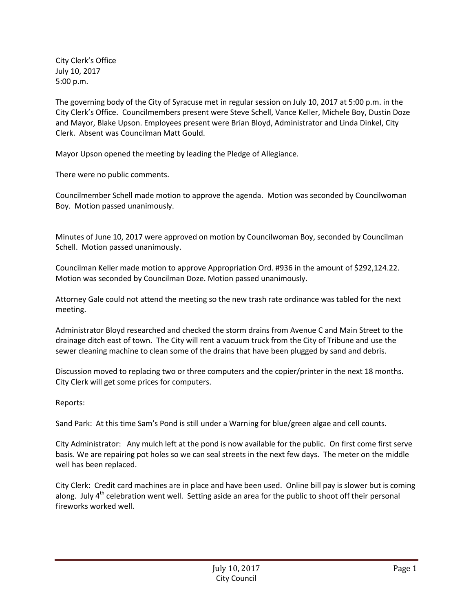City Clerk's Office July 10, 2017 5:00 p.m.

The governing body of the City of Syracuse met in regular session on July 10, 2017 at 5:00 p.m. in the City Clerk's Office. Councilmembers present were Steve Schell, Vance Keller, Michele Boy, Dustin Doze and Mayor, Blake Upson. Employees present were Brian Bloyd, Administrator and Linda Dinkel, City Clerk. Absent was Councilman Matt Gould.

Mayor Upson opened the meeting by leading the Pledge of Allegiance.

There were no public comments.

Councilmember Schell made motion to approve the agenda. Motion was seconded by Councilwoman Boy. Motion passed unanimously.

Minutes of June 10, 2017 were approved on motion by Councilwoman Boy, seconded by Councilman Schell. Motion passed unanimously.

Councilman Keller made motion to approve Appropriation Ord. #936 in the amount of \$292,124.22. Motion was seconded by Councilman Doze. Motion passed unanimously.

Attorney Gale could not attend the meeting so the new trash rate ordinance was tabled for the next meeting.

Administrator Bloyd researched and checked the storm drains from Avenue C and Main Street to the drainage ditch east of town. The City will rent a vacuum truck from the City of Tribune and use the sewer cleaning machine to clean some of the drains that have been plugged by sand and debris.

Discussion moved to replacing two or three computers and the copier/printer in the next 18 months. City Clerk will get some prices for computers.

Reports:

Sand Park: At this time Sam's Pond is still under a Warning for blue/green algae and cell counts.

City Administrator: Any mulch left at the pond is now available for the public. On first come first serve basis. We are repairing pot holes so we can seal streets in the next few days. The meter on the middle well has been replaced.

City Clerk: Credit card machines are in place and have been used. Online bill pay is slower but is coming along. July  $4<sup>th</sup>$  celebration went well. Setting aside an area for the public to shoot off their personal fireworks worked well.